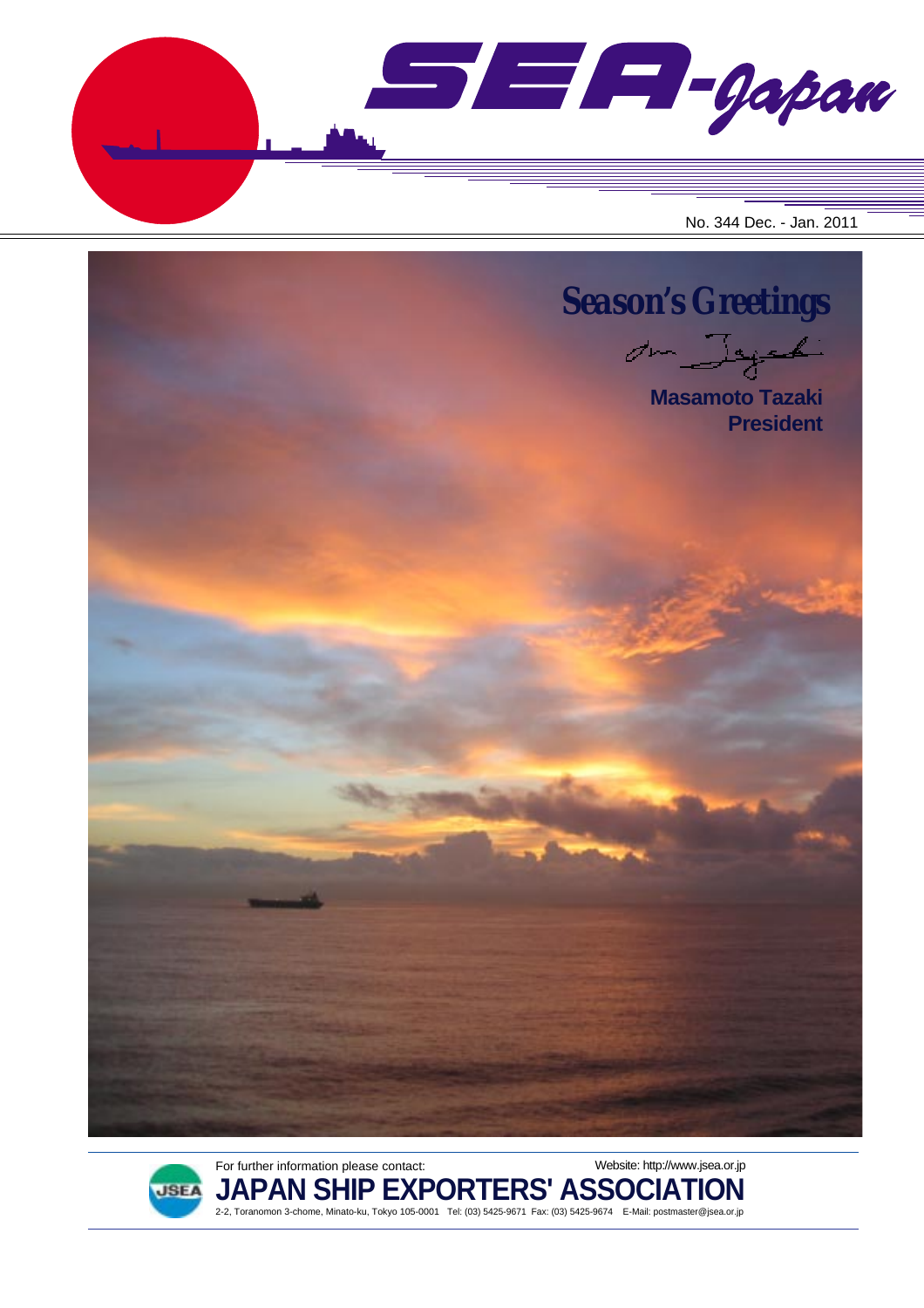$\blacksquare$  $\blacksquare$  $\blacksquare$  $\blacksquare$ No. 344 Dec. - Jan. 2011





For further information please contact: **JAPAN SHIP EXPORTERS' ASSOCIATION** 2-2, Toranomon 3-chome, Minato-ku, Tokyo 105-0001 Tel: (03) 5425-9671 Fax: (03) 5425-9674 E-Mail: postmaster@jsea.or.jp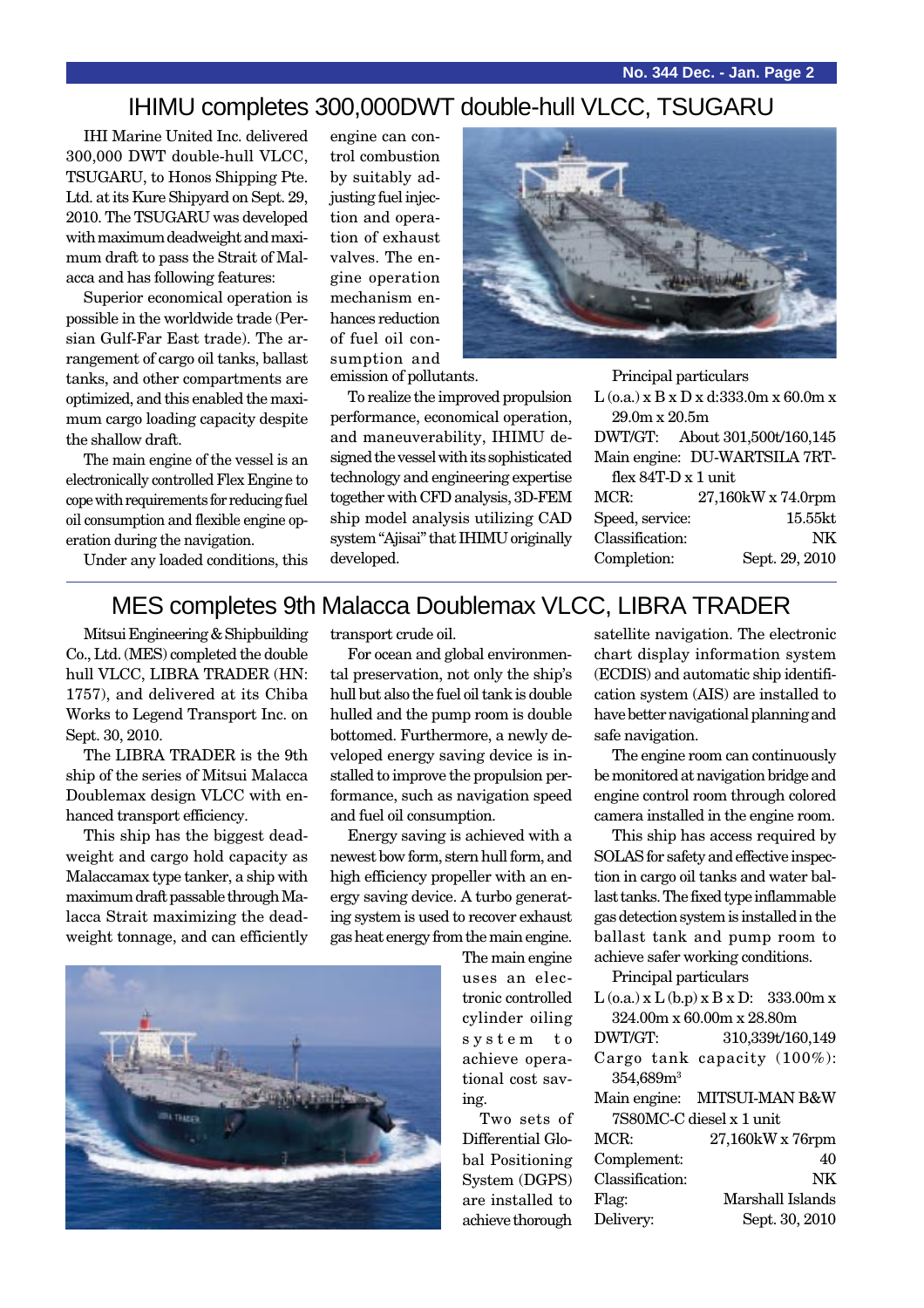#### IHIMU completes 300,000DWT double-hull VLCC, TSUGARU

IHI Marine United Inc. delivered 300,000 DWT double-hull VLCC, TSUGARU, to Honos Shipping Pte. Ltd. at its Kure Shipyard on Sept. 29, 2010. The TSUGARU was developed with maximum deadweight and maximum draft to pass the Strait of Malacca and has following features:

Superior economical operation is possible in the worldwide trade (Persian Gulf-Far East trade). The arrangement of cargo oil tanks, ballast tanks, and other compartments are optimized, and this enabled the maximum cargo loading capacity despite the shallow draft.

The main engine of the vessel is an electronically controlled Flex Engine to cope with requirements for reducing fuel oil consumption and flexible engine operation during the navigation.

Under any loaded conditions, this

engine can control combustion by suitably adjusting fuel injection and operation of exhaust valves. The engine operation mechanism enhances reduction of fuel oil consumption and emission of pollutants.

To realize the improved propulsion performance, economical operation, and maneuverability, IHIMU designed the vessel with its sophisticated technology and engineering expertise together with CFD analysis, 3D-FEM ship model analysis utilizing CAD system "Ajisai" that IHIMU originally developed.



Principal particulars

|                     | $L$ (o.a.) x B x D x d:333.0m x 60.0m x |                                |  |
|---------------------|-----------------------------------------|--------------------------------|--|
|                     | $29.0m \times 20.5m$                    |                                |  |
|                     |                                         | DWT/GT: About 301,500t/160,145 |  |
|                     |                                         | Main engine: DU-WARTSILA 7RT-  |  |
| flex 84T-D x 1 unit |                                         |                                |  |
|                     | MCR:                                    | 27,160kW x 74.0rpm             |  |
|                     | Speed, service:                         | 15.55kt                        |  |
|                     | Classification:                         | NK                             |  |
|                     | Completion:                             | Sept. 29, 2010                 |  |
|                     |                                         |                                |  |

#### MES completes 9th Malacca Doublemax VLCC, LIBRA TRADER

Mitsui Engineering & Shipbuilding Co., Ltd. (MES) completed the double hull VLCC, LIBRA TRADER (HN: 1757), and delivered at its Chiba Works to Legend Transport Inc. on Sept. 30, 2010.

The LIBRA TRADER is the 9th ship of the series of Mitsui Malacca Doublemax design VLCC with enhanced transport efficiency.

This ship has the biggest deadweight and cargo hold capacity as Malaccamax type tanker, a ship with maximum draft passable through Malacca Strait maximizing the deadweight tonnage, and can efficiently transport crude oil.

For ocean and global environmental preservation, not only the ship's hull but also the fuel oil tank is double hulled and the pump room is double bottomed. Furthermore, a newly developed energy saving device is installed to improve the propulsion performance, such as navigation speed and fuel oil consumption.

Energy saving is achieved with a newest bow form, stern hull form, and high efficiency propeller with an energy saving device. A turbo generating system is used to recover exhaust gas heat energy from the main engine.

> The main engine uses an electronic controlled cylinder oiling system to achieve operational cost saving.

Two sets of Differential Global Positioning System (DGPS) are installed to achieve thorough

satellite navigation. The electronic chart display information system (ECDIS) and automatic ship identification system (AIS) are installed to have better navigational planning and safe navigation.

The engine room can continuously be monitored at navigation bridge and engine control room through colored camera installed in the engine room.

This ship has access required by SOLAS for safety and effective inspection in cargo oil tanks and water ballast tanks. The fixed type inflammable gas detection system is installed in the ballast tank and pump room to achieve safer working conditions.

| Principal particulars                          |                             |  |  |  |
|------------------------------------------------|-----------------------------|--|--|--|
| $L$ (o.a.) x $L$ (b.p) x $B$ x $D$ : 333.00m x |                             |  |  |  |
| 324.00m x 60.00m x 28.80m                      |                             |  |  |  |
| DWT/GT:                                        | 310,339t/160,149            |  |  |  |
|                                                | Cargo tank capacity (100%): |  |  |  |
| 354,689m <sup>3</sup>                          |                             |  |  |  |
|                                                | Main engine: MITSUI-MAN B&W |  |  |  |
| 7S80MC-C diesel x 1 unit                       |                             |  |  |  |
| $MCR$ :                                        | 27,160kW x 76rpm            |  |  |  |
| Complement:                                    | 40                          |  |  |  |
| Classification:                                | NK                          |  |  |  |
| Flag:                                          | Marshall Islands            |  |  |  |
| Delivery:                                      | Sept. 30, 2010              |  |  |  |
|                                                |                             |  |  |  |

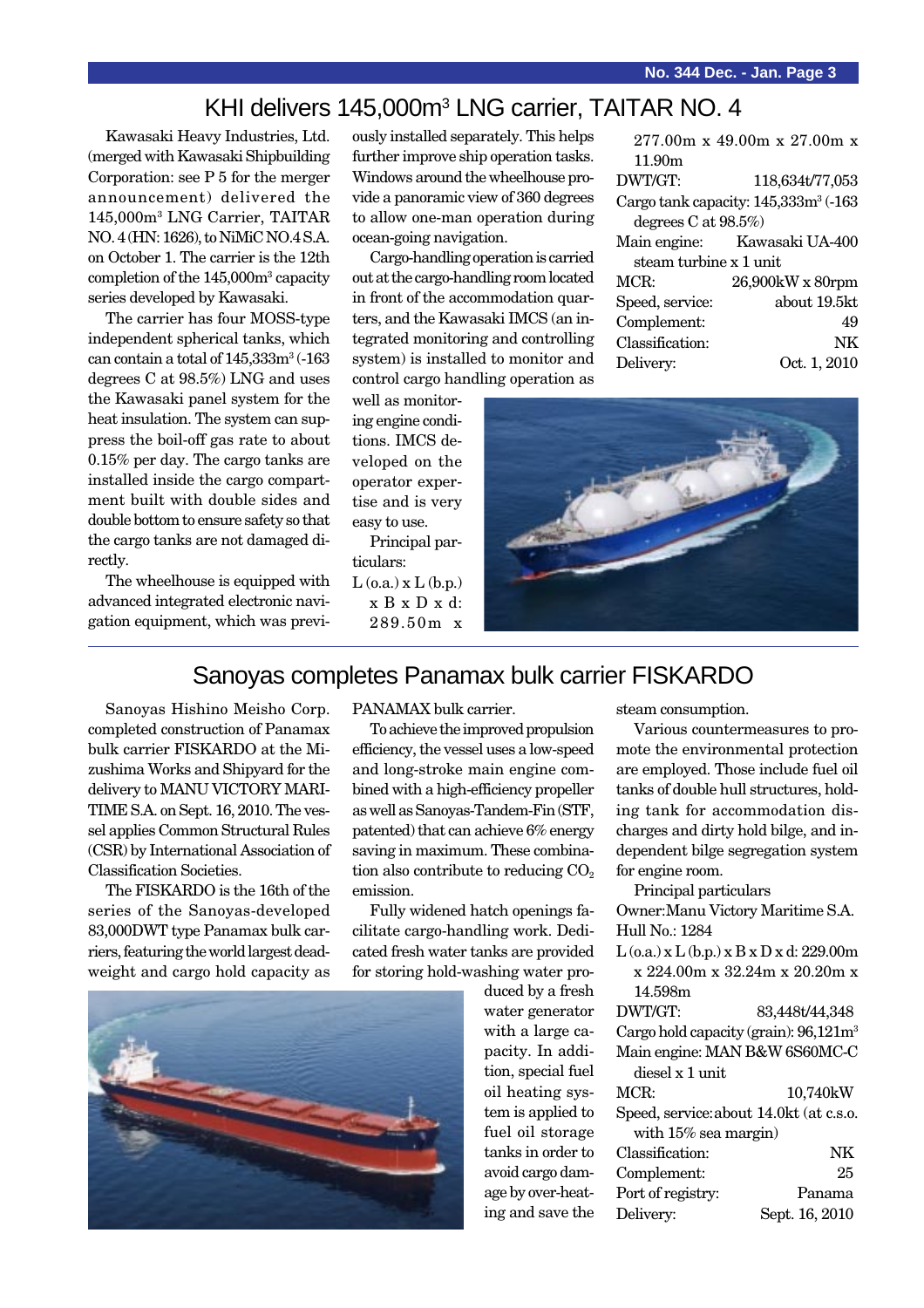### KHI delivers 145,000m<sup>3</sup> LNG carrier, TAITAR NO. 4

Kawasaki Heavy Industries, Ltd. (merged with Kawasaki Shipbuilding Corporation: see P 5 for the merger announcement) delivered the 145,000m3 LNG Carrier, TAITAR NO. 4 (HN: 1626), to NiMiC NO.4 S.A. on October 1. The carrier is the 12th completion of the 145,000m3 capacity series developed by Kawasaki.

The carrier has four MOSS-type independent spherical tanks, which can contain a total of  $145{,}333\text{m}^3$  (-163 degrees C at 98.5%) LNG and uses the Kawasaki panel system for the heat insulation. The system can suppress the boil-off gas rate to about 0.15% per day. The cargo tanks are installed inside the cargo compartment built with double sides and double bottom to ensure safety so that the cargo tanks are not damaged directly.

The wheelhouse is equipped with advanced integrated electronic navigation equipment, which was previously installed separately. This helps further improve ship operation tasks. Windows around the wheelhouse provide a panoramic view of 360 degrees to allow one-man operation during ocean-going navigation.

Cargo-handling operation is carried out at the cargo-handling room located in front of the accommodation quarters, and the Kawasaki IMCS (an integrated monitoring and controlling system) is installed to monitor and control cargo handling operation as

well as monitoring engine conditions. IMCS developed on the operator expertise and is very easy to use.

Principal particulars:  $L$  (o.a.)  $x L$  (b.p.) x B x D x d: 289.50m x





## Sanoyas completes Panamax bulk carrier FISKARDO

Sanoyas Hishino Meisho Corp. completed construction of Panamax bulk carrier FISKARDO at the Mizushima Works and Shipyard for the delivery to MANU VICTORY MARI-TIME S.A. on Sept. 16, 2010. The vessel applies Common Structural Rules (CSR) by International Association of Classification Societies.

The FISKARDO is the 16th of the series of the Sanoyas-developed 83,000DWT type Panamax bulk carriers, featuring the world largest deadweight and cargo hold capacity as



To achieve the improved propulsion efficiency, the vessel uses a low-speed and long-stroke main engine combined with a high-efficiency propeller as well as Sanoyas-Tandem-Fin (STF, patented) that can achieve 6% energy saving in maximum. These combination also contribute to reducing  $CO<sub>2</sub>$ emission.

Fully widened hatch openings facilitate cargo-handling work. Dedicated fresh water tanks are provided for storing hold-washing water pro-



duced by a fresh water generator with a large capacity. In addition, special fuel oil heating system is applied to fuel oil storage tanks in order to avoid cargo damage by over-heating and save the

steam consumption.

Various countermeasures to promote the environmental protection are employed. Those include fuel oil tanks of double hull structures, holding tank for accommodation discharges and dirty hold bilge, and independent bilge segregation system for engine room.

Principal particulars Owner:Manu Victory Maritime S.A.

Hull No.: 1284  $L$  (o.a.) x  $L$  (b.p.) x  $B$  x  $D$  x d: 229.00m x 224.00m x 32.24m x 20.20m x 14.598m DWT/GT: 83,448t/44,348

Cargo hold capacity (grain): 96,121m3 Main engine: MAN B&W 6S60MC-C diesel x 1 unit MCR: 10,740kW Speed, service:about 14.0kt (at c.s.o. with 15% sea margin) Classification: NK Complement: 25 Port of registry: Panama Delivery: Sept. 16, 2010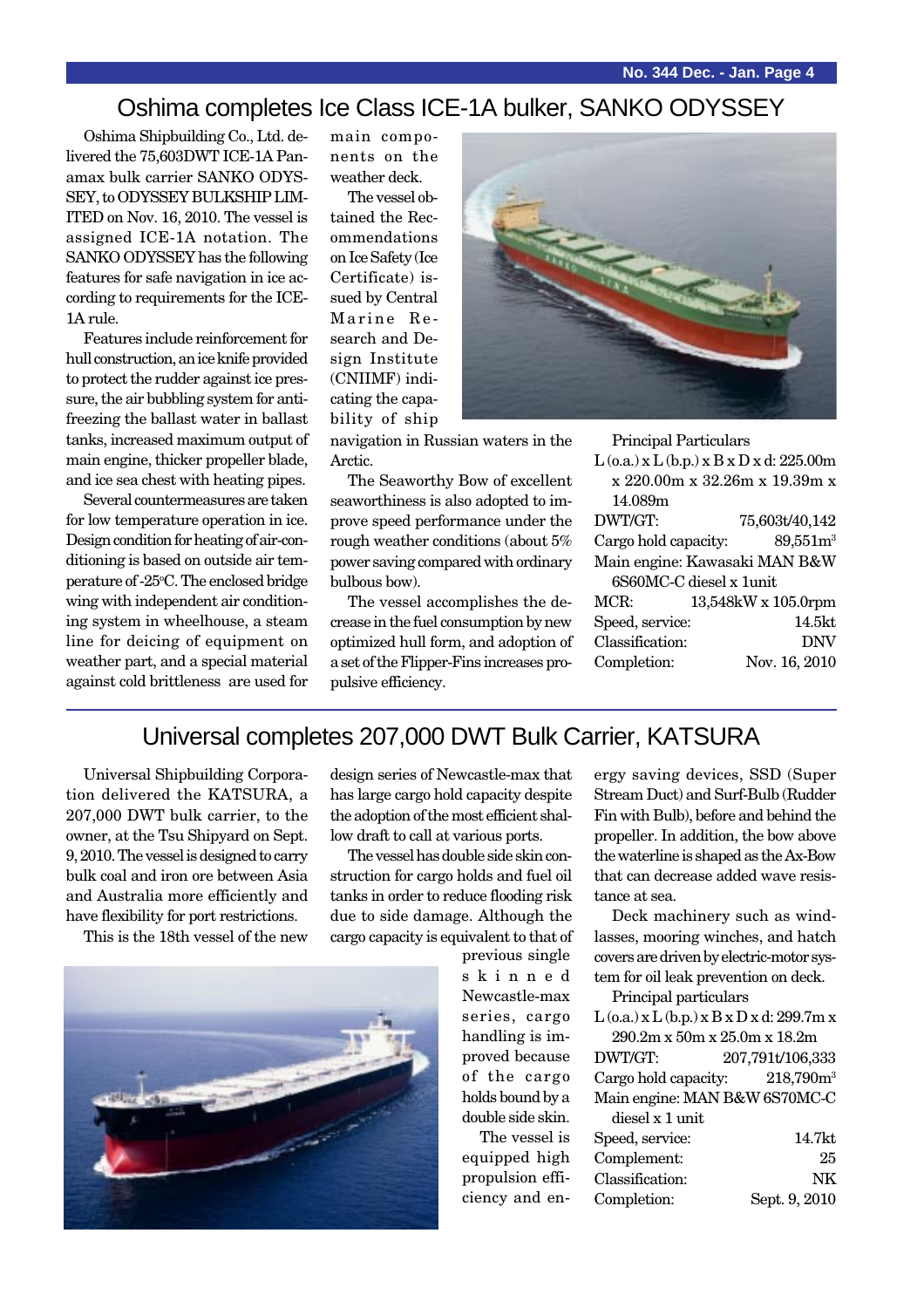## Oshima completes Ice Class ICE-1A bulker, SANKO ODYSSEY

Oshima Shipbuilding Co., Ltd. delivered the 75,603DWT ICE-1A Panamax bulk carrier SANKO ODYS-SEY, to ODYSSEY BULKSHIP LIM-ITED on Nov. 16, 2010. The vessel is assigned ICE-1A notation. The SANKO ODYSSEY has the following features for safe navigation in ice according to requirements for the ICE-1A rule.

Features include reinforcement for hull construction, an ice knife provided to protect the rudder against ice pressure, the air bubbling system for antifreezing the ballast water in ballast tanks, increased maximum output of main engine, thicker propeller blade, and ice sea chest with heating pipes.

Several countermeasures are taken for low temperature operation in ice. Design condition for heating of air-conditioning is based on outside air temperature of -25°C. The enclosed bridge wing with independent air conditioning system in wheelhouse, a steam line for deicing of equipment on weather part, and a special material against cold brittleness are used for main components on the weather deck.

The vessel obtained the Recommendations on Ice Safety (Ice Certificate) issued by Central Marine Research and Design Institute (CNIIMF) indicating the capability of ship



The Seaworthy Bow of excellent seaworthiness is also adopted to improve speed performance under the rough weather conditions (about 5% power saving compared with ordinary bulbous bow).

The vessel accomplishes the decrease in the fuel consumption by new optimized hull form, and adoption of a set of the Flipper-Fins increases propulsive efficiency.

Principal Particulars

| $L$ (o.a.) x $L$ (b.p.) x $B$ x $D$ x d: 225.00m |                      |  |
|--------------------------------------------------|----------------------|--|
| x 220.00m x 32.26m x 19.39m x                    |                      |  |
| 14.089m                                          |                      |  |
| DWT/GT:                                          | 75,603t/40,142       |  |
| Cargo hold capacity:                             | 89,551m <sup>3</sup> |  |
| Main engine: Kawasaki MAN B&W                    |                      |  |
| 6S60MC-C diesel x 1unit                          |                      |  |
| MCR:                                             | 13,548kW x 105.0rpm  |  |
| Speed, service:                                  | 14.5kt               |  |
| Classification:                                  | <b>DNV</b>           |  |
| Completion:                                      | Nov. 16, 2010        |  |
|                                                  |                      |  |

#### Universal completes 207,000 DWT Bulk Carrier, KATSURA

Universal Shipbuilding Corporation delivered the KATSURA, a 207,000 DWT bulk carrier, to the owner, at the Tsu Shipyard on Sept. 9, 2010. The vessel is designed to carry bulk coal and iron ore between Asia and Australia more efficiently and have flexibility for port restrictions.

This is the 18th vessel of the new



The vessel has double side skin construction for cargo holds and fuel oil tanks in order to reduce flooding risk due to side damage. Although the cargo capacity is equivalent to that of

previous single skinned Newcastle-max series, cargo handling is improved because of the cargo holds bound by a double side skin.

The vessel is equipped high propulsion efficiency and energy saving devices, SSD (Super Stream Duct) and Surf-Bulb (Rudder Fin with Bulb), before and behind the propeller. In addition, the bow above the waterline is shaped as the Ax-Bow that can decrease added wave resistance at sea.

Deck machinery such as windlasses, mooring winches, and hatch covers are driven by electric-motor system for oil leak prevention on deck.

Principal particulars

L (o.a.) x L (b.p.) x B x D x d: 299.7m x 290.2m x 50m x 25.0m x 18.2m

DWT/GT: 207,791t/106,333 Cargo hold capacity: 218,790m<sup>3</sup> Main engine: MAN B&W 6S70MC-C

diesel x 1 unit

| Speed, service: | 14.7kt        |
|-----------------|---------------|
| Complement:     | 25            |
| Classification: | ΝK            |
| Completion:     | Sept. 9, 2010 |

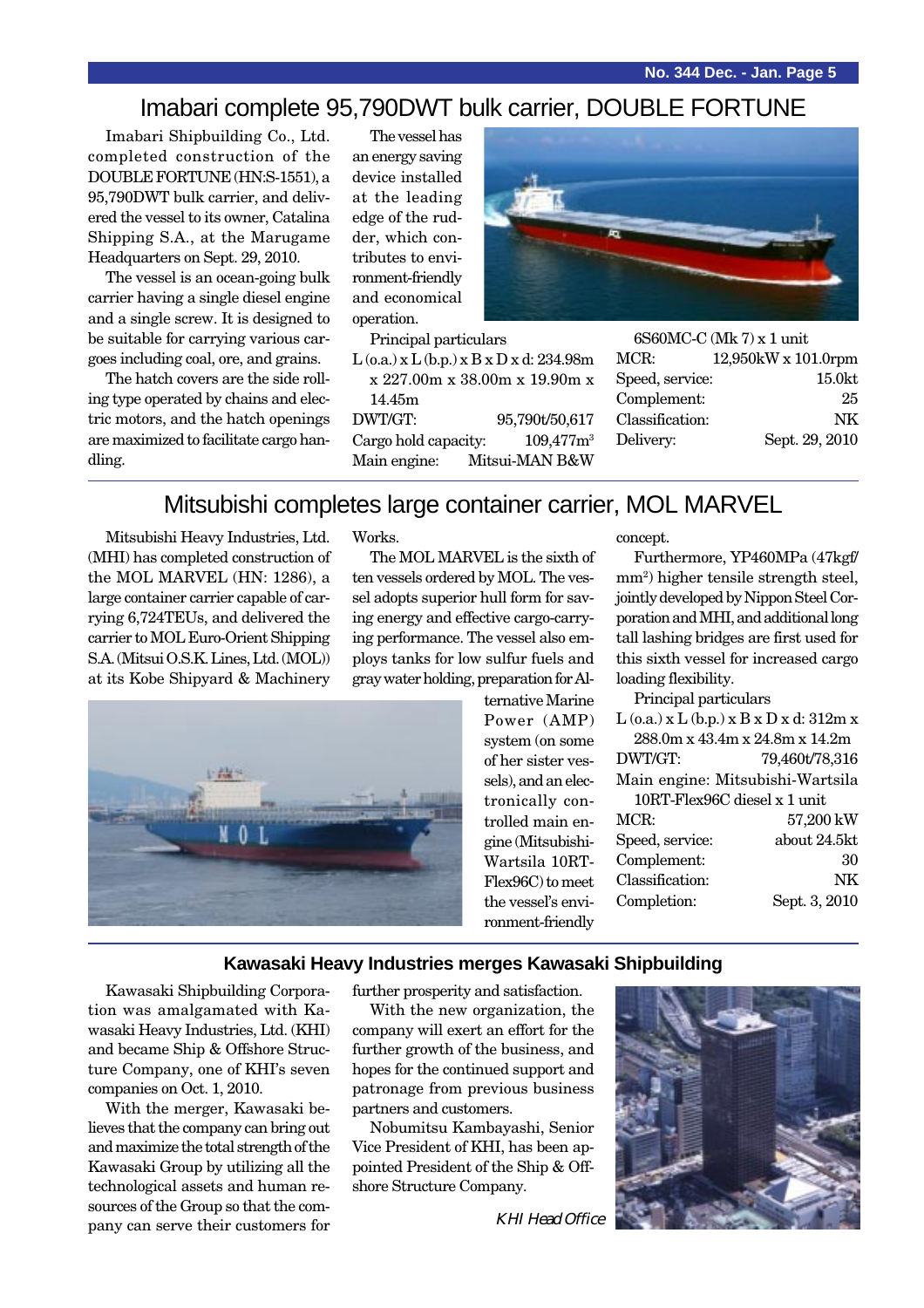#### Imabari complete 95,790DWT bulk carrier, DOUBLE FORTUNE

Imabari Shipbuilding Co., Ltd. completed construction of the DOUBLE FORTUNE (HN:S-1551), a 95,790DWT bulk carrier, and delivered the vessel to its owner, Catalina Shipping S.A., at the Marugame Headquarters on Sept. 29, 2010.

The vessel is an ocean-going bulk carrier having a single diesel engine and a single screw. It is designed to be suitable for carrying various cargoes including coal, ore, and grains.

The hatch covers are the side rolling type operated by chains and electric motors, and the hatch openings are maximized to facilitate cargo handling.

The vessel has an energy saving device installed at the leading edge of the rudder, which contributes to environment-friendly and economical operation.



Principal particulars

 $L$  (o.a.) x  $L$  (b.p.) x  $B$  x  $D$  x d: 234.98m x 227.00m x 38.00m x 19.90m x 14.45m DWT/GT: 95,790t/50,617 Cargo hold capacity:  $109,477$ m<sup>3</sup> Main engine: Mitsui-MAN B&W

6S60MC-C (Mk 7) x 1 unit MCR: 12,950kW x 101.0rpm Speed, service: 15.0kt Complement: 25 Classification: NK Delivery: Sept. 29, 2010

#### Mitsubishi completes large container carrier, MOL MARVEL

Mitsubishi Heavy Industries, Ltd. (MHI) has completed construction of the MOL MARVEL (HN: 1286), a large container carrier capable of carrying 6,724TEUs, and delivered the carrier to MOL Euro-Orient Shipping S.A. (Mitsui O.S.K. Lines, Ltd. (MOL)) at its Kobe Shipyard & Machinery Works.

The MOL MARVEL is the sixth of ten vessels ordered by MOL. The vessel adopts superior hull form for saving energy and effective cargo-carrying performance. The vessel also employs tanks for low sulfur fuels and gray water holding, preparation for Al-



ternative Marine Power (AMP) system (on some of her sister vessels), and an electronically controlled main engine (Mitsubishi-Wartsila 10RT-Flex96C) to meet the vessel's environment-friendly

concept.

Furthermore, YP460MPa (47kgf/ mm2 ) higher tensile strength steel, jointly developed by Nippon Steel Corporation and MHI, and additional long tall lashing bridges are first used for this sixth vessel for increased cargo loading flexibility.

Principal particulars

| $\rm L$ (o.a.) x $\rm L$ (b.p.) x $\rm B$ x $\rm D$ x d: 312m x |
|-----------------------------------------------------------------|
| $288.0$ m x $43.4$ m x $24.8$ m x $14.2$ m                      |

DWT/GT: 79,460t/78,316

Main engine: Mitsubishi-Wartsila 10RT-Flex96C diesel x 1 unit

| MCR:            | 57,200 kW     |
|-----------------|---------------|
| Speed, service: | about 24.5kt  |
| Complement:     | 30            |
| Classification: | NK            |
| Completion:     | Sept. 3, 2010 |
|                 |               |

#### **Kawasaki Heavy Industries merges Kawasaki Shipbuilding**

Kawasaki Shipbuilding Corporation was amalgamated with Kawasaki Heavy Industries, Ltd. (KHI) and became Ship & Offshore Structure Company, one of KHI's seven companies on Oct. 1, 2010.

With the merger, Kawasaki believes that the company can bring out and maximize the total strength of the Kawasaki Group by utilizing all the technological assets and human resources of the Group so that the company can serve their customers for further prosperity and satisfaction.

With the new organization, the company will exert an effort for the further growth of the business, and hopes for the continued support and patronage from previous business partners and customers.

Nobumitsu Kambayashi, Senior Vice President of KHI, has been appointed President of the Ship & Offshore Structure Company.

KHI Head Office